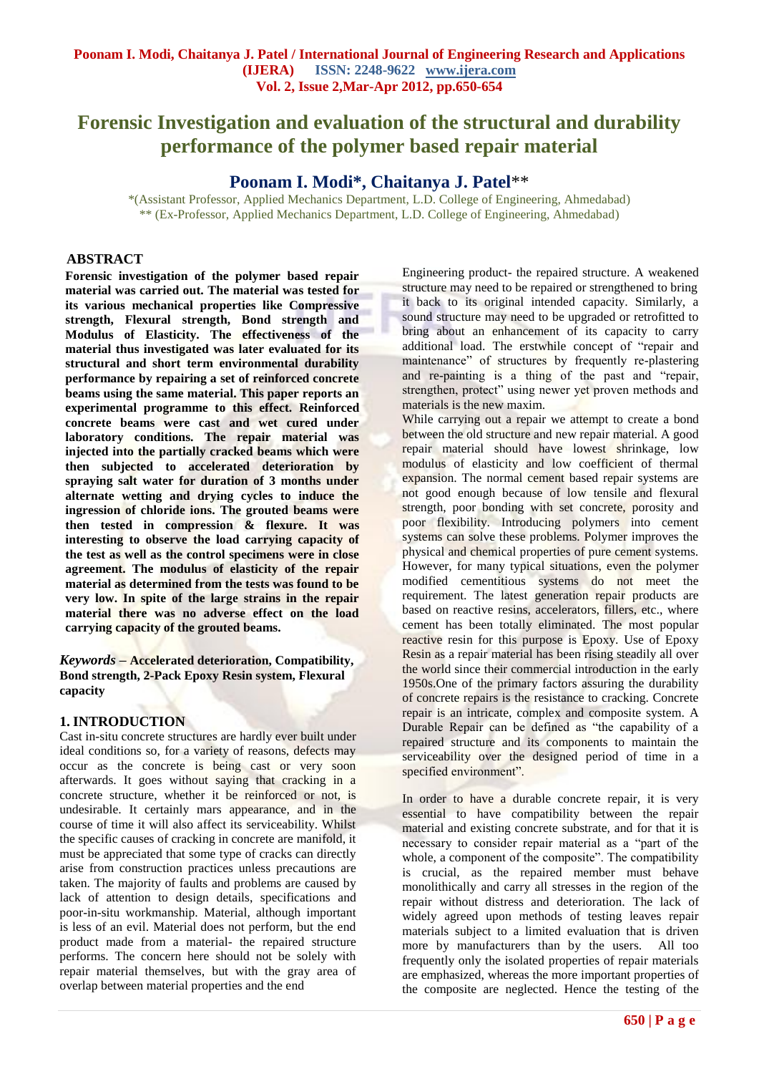# **Forensic Investigation and evaluation of the structural and durability performance of the polymer based repair material**

# **Poonam I. Modi\*, Chaitanya J. Patel**\*\*

\*(Assistant Professor, Applied Mechanics Department, L.D. College of Engineering, Ahmedabad) \*\* (Ex-Professor, Applied Mechanics Department, L.D. College of Engineering, Ahmedabad)

## **ABSTRACT**

**Forensic investigation of the polymer based repair material was carried out. The material was tested for its various mechanical properties like Compressive strength, Flexural strength, Bond strength and Modulus of Elasticity. The effectiveness of the material thus investigated was later evaluated for its structural and short term environmental durability performance by repairing a set of reinforced concrete beams using the same material. This paper reports an experimental programme to this effect. Reinforced concrete beams were cast and wet cured under laboratory conditions. The repair material was injected into the partially cracked beams which were then subjected to accelerated deterioration by spraying salt water for duration of 3 months under alternate wetting and drying cycles to induce the ingression of chloride ions. The grouted beams were then tested in compression & flexure. It was interesting to observe the load carrying capacity of the test as well as the control specimens were in close agreement. The modulus of elasticity of the repair material as determined from the tests was found to be very low. In spite of the large strains in the repair material there was no adverse effect on the load carrying capacity of the grouted beams.** 

*Keywords* **– Accelerated deterioration, Compatibility, Bond strength, 2-Pack Epoxy Resin system, Flexural capacity**

# **1. INTRODUCTION**

Cast in-situ concrete structures are hardly ever built under ideal conditions so, for a variety of reasons, defects may occur as the concrete is being cast or very soon afterwards. It goes without saying that cracking in a concrete structure, whether it be reinforced or not, is undesirable. It certainly mars appearance, and in the course of time it will also affect its serviceability. Whilst the specific causes of cracking in concrete are manifold, it must be appreciated that some type of cracks can directly arise from construction practices unless precautions are taken. The majority of faults and problems are caused by lack of attention to design details, specifications and poor-in-situ workmanship. Material, although important is less of an evil. Material does not perform, but the end product made from a material- the repaired structure performs. The concern here should not be solely with repair material themselves, but with the gray area of overlap between material properties and the end

Engineering product- the repaired structure. A weakened structure may need to be repaired or strengthened to bring it back to its original intended capacity. Similarly, a sound structure may need to be upgraded or retrofitted to bring about an enhancement of its capacity to carry additional load. The erstwhile concept of "repair and maintenance" of structures by frequently re-plastering and re-painting is a thing of the past and "repair, strengthen, protect" using newer yet proven methods and materials is the new maxim.

While carrying out a repair we attempt to create a bond between the old structure and new repair material. A good repair material should have lowest shrinkage, low modulus of elasticity and low coefficient of thermal expansion. The normal cement based repair systems are not good enough because of low tensile and flexural strength, poor bonding with set concrete, porosity and poor flexibility. Introducing polymers into cement systems can solve these problems. Polymer improves the physical and chemical properties of pure cement systems. However, for many typical situations, even the polymer modified cementitious systems do not meet the requirement. The latest generation repair products are based on reactive resins, accelerators, fillers, etc., where cement has been totally eliminated. The most popular reactive resin for this purpose is Epoxy. Use of Epoxy Resin as a repair material has been rising steadily all over the world since their commercial introduction in the early 1950s.One of the primary factors assuring the durability of concrete repairs is the resistance to cracking. Concrete repair is an intricate, complex and composite system. A Durable Repair can be defined as "the capability of a repaired structure and its components to maintain the serviceability over the designed period of time in a specified environment".

In order to have a durable concrete repair, it is very essential to have compatibility between the repair material and existing concrete substrate, and for that it is necessary to consider repair material as a "part of the whole, a component of the composite". The compatibility is crucial, as the repaired member must behave monolithically and carry all stresses in the region of the repair without distress and deterioration. The lack of widely agreed upon methods of testing leaves repair materials subject to a limited evaluation that is driven more by manufacturers than by the users. All too frequently only the isolated properties of repair materials are emphasized, whereas the more important properties of the composite are neglected. Hence the testing of the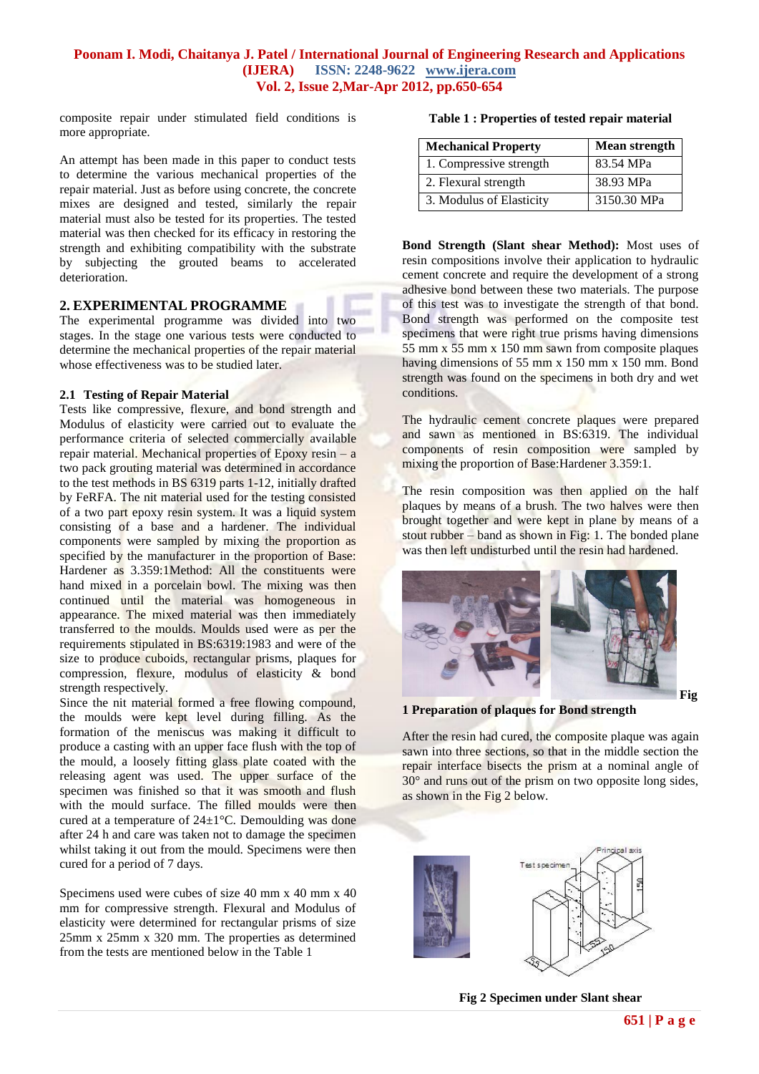composite repair under stimulated field conditions is more appropriate.

An attempt has been made in this paper to conduct tests to determine the various mechanical properties of the repair material. Just as before using concrete, the concrete mixes are designed and tested, similarly the repair material must also be tested for its properties. The tested material was then checked for its efficacy in restoring the strength and exhibiting compatibility with the substrate by subjecting the grouted beams to accelerated deterioration.

### **2. EXPERIMENTAL PROGRAMME**

The experimental programme was divided into two stages. In the stage one various tests were conducted to determine the mechanical properties of the repair material whose effectiveness was to be studied later.

#### **2.1 Testing of Repair Material**

Tests like compressive, flexure, and bond strength and Modulus of elasticity were carried out to evaluate the performance criteria of selected commercially available repair material. Mechanical properties of Epoxy resin – a two pack grouting material was determined in accordance to the test methods in BS 6319 parts 1-12, initially drafted by FeRFA. The nit material used for the testing consisted of a two part epoxy resin system. It was a liquid system consisting of a base and a hardener. The individual components were sampled by mixing the proportion as specified by the manufacturer in the proportion of Base: Hardener as 3.359:1Method: All the constituents were hand mixed in a porcelain bowl. The mixing was then continued until the material was homogeneous in appearance. The mixed material was then immediately transferred to the moulds. Moulds used were as per the requirements stipulated in BS:6319:1983 and were of the size to produce cuboids, rectangular prisms, plaques for compression, flexure, modulus of elasticity & bond strength respectively.

Since the nit material formed a free flowing compound, the moulds were kept level during filling. As the formation of the meniscus was making it difficult to produce a casting with an upper face flush with the top of the mould, a loosely fitting glass plate coated with the releasing agent was used. The upper surface of the specimen was finished so that it was smooth and flush with the mould surface. The filled moulds were then cured at a temperature of  $24\pm1^{\circ}$ C. Demoulding was done after 24 h and care was taken not to damage the specimen whilst taking it out from the mould. Specimens were then cured for a period of 7 days.

Specimens used were cubes of size 40 mm x 40 mm x 40 mm for compressive strength. Flexural and Modulus of elasticity were determined for rectangular prisms of size 25mm x 25mm x 320 mm. The properties as determined from the tests are mentioned below in the Table 1

| Table 1 : Properties of tested repair material |  |  |  |  |
|------------------------------------------------|--|--|--|--|
|------------------------------------------------|--|--|--|--|

| <b>Mechanical Property</b> | Mean strength |
|----------------------------|---------------|
| 1. Compressive strength    | 83.54 MPa     |
| 2. Flexural strength       | 38.93 MPa     |
| 3. Modulus of Elasticity   | 3150.30 MPa   |

**(MPa) (MPa)**

**Bond Strength (Slant shear Method):** Most uses of resin compositions involve their application to hydraulic cement concrete and require the development of a strong adhesive bond between these two materials. The purpose of this test was to investigate the strength of that bond. Bond strength was performed on the composite test specimens that were right true prisms having dimensions 55 mm x 55 mm x 150 mm sawn from composite plaques having dimensions of 55 mm x 150 mm x 150 mm. Bond strength was found on the specimens in both dry and wet conditions.

The hydraulic cement concrete plaques were prepared and sawn as mentioned in BS:6319. The individual components of resin composition were sampled by mixing the proportion of Base: Hardener 3.359:1.

The resin composition was then applied on the half plaques by means of a brush. The two halves were then brought together and were kept in plane by means of a stout rubber – band as shown in Fig: 1. The bonded plane was then left undisturbed until the resin had hardened.



**1 Preparation of plaques for Bond strength**

After the resin had cured, the composite plaque was again sawn into three sections, so that in the middle section the repair interface bisects the prism at a nominal angle of 30° and runs out of the prism on two opposite long sides, as shown in the Fig 2 below.



**Fig 2 Specimen under Slant shear**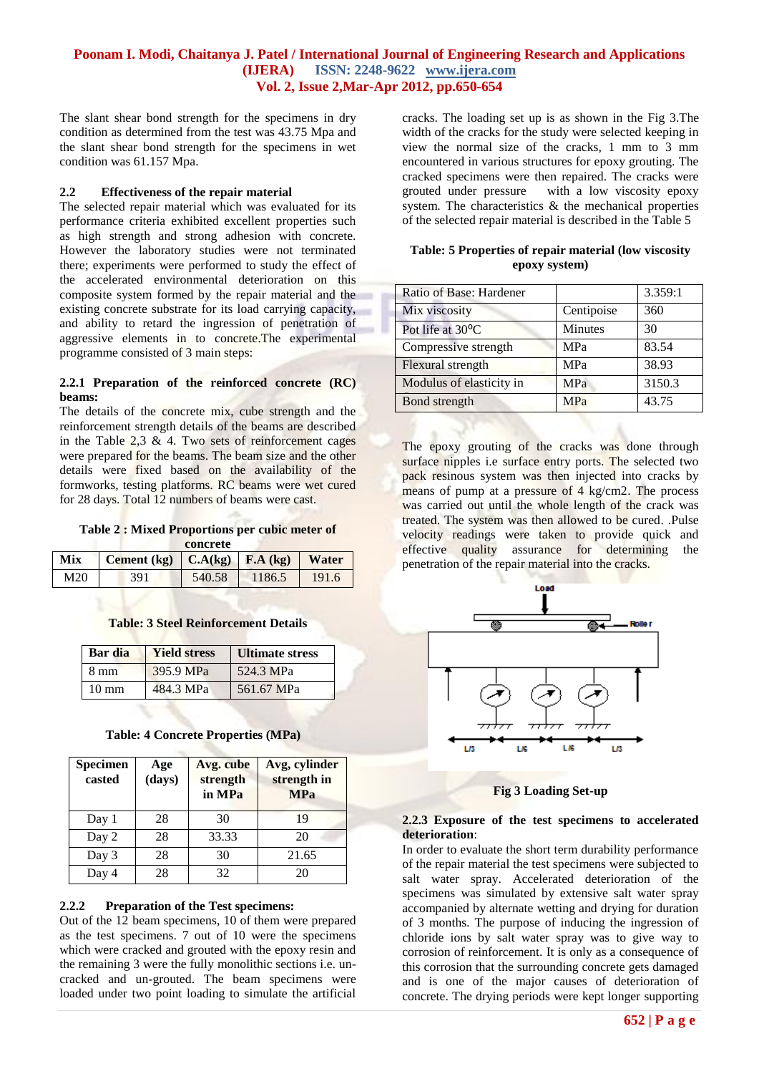The slant shear bond strength for the specimens in dry condition as determined from the test was 43.75 Mpa and the slant shear bond strength for the specimens in wet condition was 61.157 Mpa.

#### **2.2 Effectiveness of the repair material**

The selected repair material which was evaluated for its performance criteria exhibited excellent properties such as high strength and strong adhesion with concrete. However the laboratory studies were not terminated there; experiments were performed to study the effect of the accelerated environmental deterioration on this composite system formed by the repair material and the existing concrete substrate for its load carrying capacity, and ability to retard the ingression of penetration of aggressive elements in to concrete.The experimental programme consisted of 3 main steps:

#### **2.2.1 Preparation of the reinforced concrete (RC) beams:**

The details of the concrete mix, cube strength and the reinforcement strength details of the beams are described in the Table  $2,3 \& 4$ . Two sets of reinforcement cages were prepared for the beams. The beam size and the other details were fixed based on the availability of the formworks, testing platforms. RC beams were wet cured for 28 days. Total 12 numbers of beams were cast.

**Table 2 : Mixed Proportions per cubic meter of concrete**

| Mix | Cement (kg) $\vert$ C.A(kg) $\vert$ F.A (kg) |        |        | <b>Water</b> |  |
|-----|----------------------------------------------|--------|--------|--------------|--|
| M20 | 391.                                         | 540.58 | 1186.5 | 191.6        |  |

### **Table: 3 Steel Reinforcement Details**

| Bar dia         | <b>Yield stress</b> | <b>Ultimate stress</b> |
|-----------------|---------------------|------------------------|
| 8 mm            | 395.9 MPa           | 524.3 MPa              |
| $10 \text{ mm}$ | 484.3 MPa           | 561.67 MPa             |

## **Table: 4 Concrete Properties (MPa)**

| <b>Specimen</b><br>casted | Age<br>(days) | Avg. cube<br>strength<br>in MPa | Avg, cylinder<br>strength in<br><b>MPa</b> |
|---------------------------|---------------|---------------------------------|--------------------------------------------|
| Day 1                     | 28            | 30                              | 19                                         |
| Day 2                     | 28            | 33.33                           | 20                                         |
| Day 3                     | 28            | 30                              | 21.65                                      |
| Day 4                     | 28            | 32                              | 20                                         |

### **2.2.2 Preparation of the Test specimens:**

Out of the 12 beam specimens, 10 of them were prepared as the test specimens. 7 out of 10 were the specimens which were cracked and grouted with the epoxy resin and the remaining 3 were the fully monolithic sections i.e. uncracked and un-grouted. The beam specimens were loaded under two point loading to simulate the artificial

cracks. The loading set up is as shown in the Fig 3.The width of the cracks for the study were selected keeping in view the normal size of the cracks, 1 mm to 3 mm encountered in various structures for epoxy grouting. The cracked specimens were then repaired. The cracks were with a low viscosity epoxy system. The characteristics & the mechanical properties of the selected repair material is described in the Table 5

| Table: 5 Properties of repair material (low viscosity |
|-------------------------------------------------------|
| epoxy system)                                         |

| Ratio of Base: Hardener  |            | 3.359:1 |
|--------------------------|------------|---------|
| Mix viscosity            | Centipoise | 360     |
| Pot life at 30°C         | Minutes    | 30      |
| Compressive strength     | <b>MPa</b> | 83.54   |
| Flexural strength        | <b>MPa</b> | 38.93   |
| Modulus of elasticity in | <b>MPa</b> | 3150.3  |
| Bond strength            | <b>MPa</b> | 43.75   |

The epoxy grouting of the cracks was done through surface nipples i.e surface entry ports. The selected two pack resinous system was then injected into cracks by means of pump at a pressure of 4 kg/cm2. The process was carried out until the whole length of the crack was treated. The system was then allowed to be cured. .Pulse velocity readings were taken to provide quick and effective quality assurance for determining the penetration of the repair material into the cracks.



**Fig 3 Loading Set-up**

### **2.2.3 Exposure of the test specimens to accelerated deterioration**:

In order to evaluate the short term durability performance of the repair material the test specimens were subjected to salt water spray. Accelerated deterioration of the specimens was simulated by extensive salt water spray accompanied by alternate wetting and drying for duration of 3 months. The purpose of inducing the ingression of chloride ions by salt water spray was to give way to corrosion of reinforcement. It is only as a consequence of this corrosion that the surrounding concrete gets damaged and is one of the major causes of deterioration of concrete. The drying periods were kept longer supporting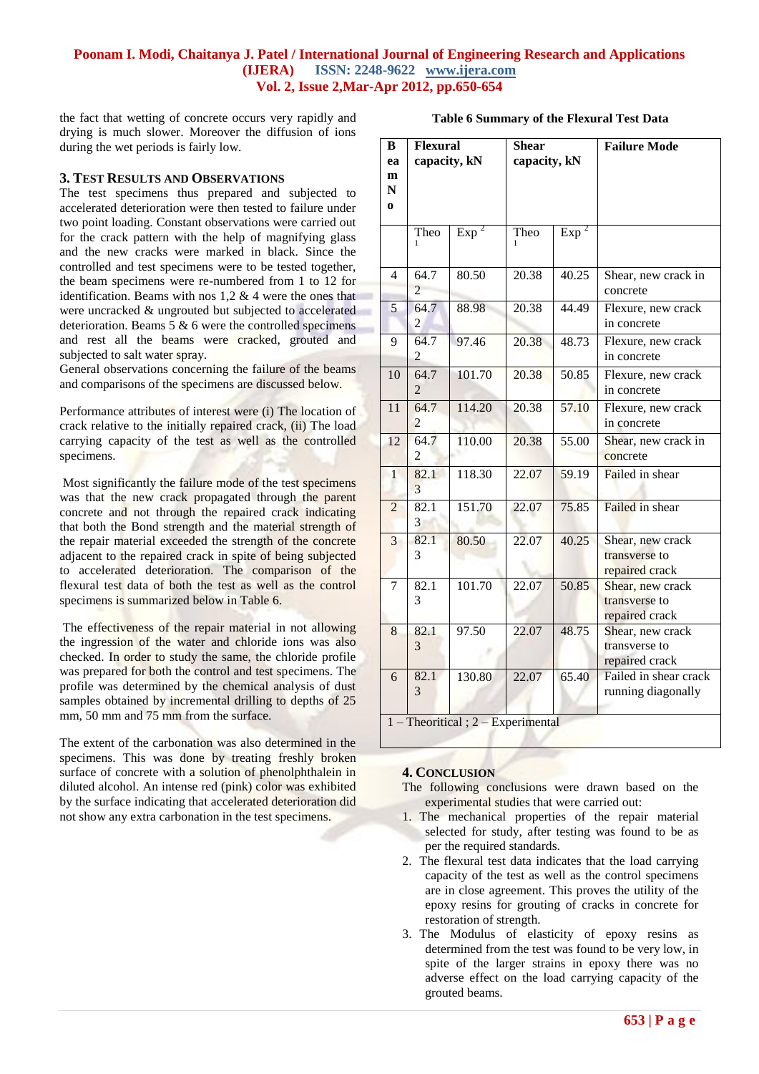the fact that wetting of concrete occurs very rapidly and drying is much slower. Moreover the diffusion of ions during the wet periods is fairly low.

#### **3. TEST RESULTS AND OBSERVATIONS**

The test specimens thus prepared and subjected to accelerated deterioration were then tested to failure under two point loading. Constant observations were carried out for the crack pattern with the help of magnifying glass and the new cracks were marked in black. Since the controlled and test specimens were to be tested together, the beam specimens were re-numbered from 1 to 12 for identification. Beams with nos 1,2 & 4 were the ones that were uncracked & ungrouted but subjected to accelerated deterioration. Beams  $5 \& 6$  were the controlled specimens and rest all the beams were cracked, grouted and subjected to salt water spray.

General observations concerning the failure of the beams and comparisons of the specimens are discussed below.

Performance attributes of interest were (i) The location of crack relative to the initially repaired crack, (ii) The load carrying capacity of the test as well as the controlled specimens.

Most significantly the failure mode of the test specimens was that the new crack propagated through the parent concrete and not through the repaired crack indicating that both the Bond strength and the material strength of the repair material exceeded the strength of the concrete adjacent to the repaired crack in spite of being subjected to accelerated deterioration. The comparison of the flexural test data of both the test as well as the control specimens is summarized below in Table 6.

The effectiveness of the repair material in not allowing the ingression of the water and chloride ions was also checked. In order to study the same, the chloride profile was prepared for both the control and test specimens. The profile was determined by the chemical analysis of dust samples obtained by incremental drilling to depths of 25 mm, 50 mm and 75 mm from the surface.

The extent of the carbonation was also determined in the specimens. This was done by treating freshly broken surface of concrete with a solution of phenolphthalein in diluted alcohol. An intense red (pink) color was exhibited by the surface indicating that accelerated deterioration did not show any extra carbonation in the test specimens.

| B<br>ea<br>$\mathbf{m}$<br>${\bf N}$<br>$\bf{0}$ | <b>Flexural</b><br>capacity, kN |                  | <b>Shear</b><br>capacity, kN |                  | <b>Failure Mode</b>                                 |
|--------------------------------------------------|---------------------------------|------------------|------------------------------|------------------|-----------------------------------------------------|
|                                                  | Theo<br>$\mathbf{1}$            | Exp <sup>2</sup> | Theo<br>1                    | Exp <sup>2</sup> |                                                     |
| 4                                                | 64.7<br>$\overline{2}$          | 80.50            | 20.38                        | 40.25            | Shear, new crack in<br>concrete                     |
| 5                                                | 64.7<br>2                       | 88.98            | 20.38                        | 44.49            | Flexure, new crack<br>in concrete                   |
| 9                                                | 64.7<br>2                       | 97.46            | 20.38                        | 48.73            | Flexure, new crack<br>in concrete                   |
| 10                                               | 64.7<br>2                       | 101.70           | 20.38                        | 50.85            | Flexure, new crack<br>in concrete                   |
| 11                                               | 64.7<br>2                       | 114.20           | 20.38                        | 57.10            | Flexure, new crack<br>in concrete                   |
| 12                                               | 64.7<br>2                       | 110.00           | 20.38                        | 55.00            | Shear, new crack in<br>concrete                     |
| $\mathbf{1}$                                     | 82.1<br>3                       | 118.30           | 22.07                        | 59.19            | Failed in shear                                     |
| $\overline{2}$                                   | 82.1<br>3                       | 151.70           | 22.07                        | 75.85            | Failed in shear                                     |
| 3                                                | 82.1<br>3                       | 80.50            | 22.07                        | 40.25            | Shear, new crack<br>transverse to<br>repaired crack |
| $\overline{7}$                                   | 82.1<br>3                       | 101.70           | 22.07                        | 50.85            | Shear, new crack<br>transverse to<br>repaired crack |
| 8                                                | 82.1<br>3                       | 97.50            | 22.07                        | 48.75            | Shear, new crack<br>transverse to<br>repaired crack |
| 6                                                | 82.1<br>3                       | 130.80           | 22.07                        | 65.40            | Failed in shear crack<br>running diagonally         |
| $1$ – Theoritical; $2$ – Experimental            |                                 |                  |                              |                  |                                                     |

## **Table 6 Summary of the Flexural Test Data**

#### **4. CONCLUSION**

The following conclusions were drawn based on the experimental studies that were carried out:

- 1. The mechanical properties of the repair material selected for study, after testing was found to be as per the required standards.
- 2. The flexural test data indicates that the load carrying capacity of the test as well as the control specimens are in close agreement. This proves the utility of the epoxy resins for grouting of cracks in concrete for restoration of strength.
- 3. The Modulus of elasticity of epoxy resins as determined from the test was found to be very low, in spite of the larger strains in epoxy there was no adverse effect on the load carrying capacity of the grouted beams.